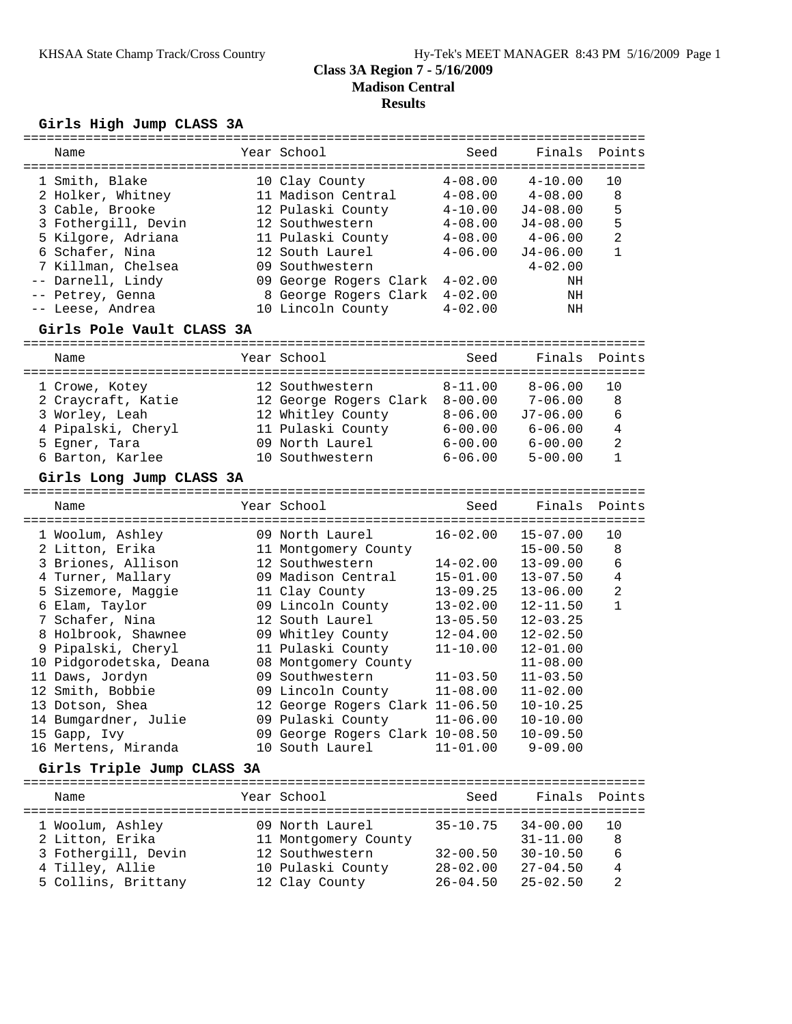### **Class 3A Region 7 - 5/16/2009 Madison Central Results**

### **Girls High Jump CLASS 3A**

| Name                      |  | Year School                     | Seed         | Finals       | Points         |
|---------------------------|--|---------------------------------|--------------|--------------|----------------|
| 1 Smith, Blake            |  | 10 Clay County                  | $4 - 08.00$  | $4 - 10.00$  | 10             |
| 2 Holker, Whitney         |  | 11 Madison Central              | $4 - 08.00$  | $4 - 08.00$  | 8              |
| 3 Cable, Brooke           |  | 12 Pulaski County               | $4 - 10.00$  | $J4 - 08.00$ | 5              |
| 3 Fothergill, Devin       |  | 12 Southwestern                 | $4 - 08.00$  | $J4 - 08.00$ | 5              |
| 5 Kilgore, Adriana        |  | 11 Pulaski County               | $4 - 08.00$  | $4 - 06.00$  | $\overline{2}$ |
| 6 Schafer, Nina           |  | 12 South Laurel                 | $4 - 06.00$  | $J4 - 06.00$ | $\mathbf{1}$   |
| 7 Killman, Chelsea        |  | 09 Southwestern                 |              | $4 - 02.00$  |                |
| -- Darnell, Lindy         |  | 09 George Rogers Clark 4-02.00  |              | ΝH           |                |
| -- Petrey, Genna          |  | 8 George Rogers Clark 4-02.00   |              | NH           |                |
| -- Leese, Andrea          |  | 10 Lincoln County               | $4 - 02.00$  | NH           |                |
| Girls Pole Vault CLASS 3A |  |                                 |              |              |                |
|                           |  |                                 |              |              |                |
| Name                      |  | Year School                     | Seed         | Finals       | Points         |
| 1 Crowe, Kotey            |  | 12 Southwestern                 | $8 - 11.00$  | $8 - 06.00$  | 10             |
| 2 Craycraft, Katie        |  | 12 George Rogers Clark 8-00.00  |              | $7 - 06.00$  | 8              |
| 3 Worley, Leah            |  | 12 Whitley County               | 8-06.00      | $J7 - 06.00$ | 6              |
| 4 Pipalski, Cheryl        |  | 11 Pulaski County               | $6 - 00.00$  | $6 - 06.00$  | $\overline{4}$ |
| 5 Egner, Tara             |  | 09 North Laurel                 | $6 - 00.00$  | $6 - 00.00$  | $\overline{2}$ |
| 6 Barton, Karlee          |  | 10 Southwestern                 | $6 - 06.00$  | $5 - 00.00$  | $\mathbf{1}$   |
| Girls Long Jump CLASS 3A  |  |                                 |              |              |                |
| Name                      |  | Year School                     | Seed         | Finals       | Points         |
|                           |  |                                 |              |              |                |
| 1 Woolum, Ashley          |  | 09 North Laurel                 | $16 - 02.00$ | $15 - 07.00$ | 10             |
| 2 Litton, Erika           |  | 11 Montgomery County            |              | $15 - 00.50$ | 8              |
| 3 Briones, Allison        |  | 12 Southwestern                 | $14 - 02.00$ | $13 - 09.00$ | 6              |
| 4 Turner, Mallary         |  | 09 Madison Central              | $15 - 01.00$ | $13 - 07.50$ | $\overline{4}$ |
| 5 Sizemore, Maggie        |  | 11 Clay County                  | $13 - 09.25$ | $13 - 06.00$ | $\overline{2}$ |
| 6 Elam, Taylor            |  | 09 Lincoln County               | $13 - 02.00$ | $12 - 11.50$ | $\mathbf{1}$   |
| 7 Schafer, Nina           |  | 12 South Laurel                 | $13 - 05.50$ | $12 - 03.25$ |                |
| 8 Holbrook, Shawnee       |  | 09 Whitley County               | $12 - 04.00$ | $12 - 02.50$ |                |
| 9 Pipalski, Cheryl        |  | 11 Pulaski County               | $11 - 10.00$ | $12 - 01.00$ |                |
| 10 Pidgorodetska, Deana   |  | 08 Montgomery County            |              | $11 - 08.00$ |                |
| 11 Daws, Jordyn           |  | 09 Southwestern                 | $11 - 03.50$ | $11 - 03.50$ |                |
| 12 Smith, Bobbie          |  | 09 Lincoln County               | $11 - 08.00$ | $11 - 02.00$ |                |
| 13 Dotson, Shea           |  | 12 George Rogers Clark 11-06.50 |              | $10 - 10.25$ |                |
| 14 Bumgardner, Julie      |  | 09 Pulaski County               | $11 - 06.00$ | $10 - 10.00$ |                |
| 15 Gapp, Ivy              |  | 09 George Rogers Clark 10-08.50 |              | $10 - 09.50$ |                |

#### 16 Mertens, Miranda 10 South Laurel 11-01.00 9-09.00

### **Girls Triple Jump CLASS 3A**

================================================================================ Year School Seed Finals Points ================================================================================ 1 Woolum, Ashley 09 North Laurel 35-10.75 34-00.00 10 2 Litton, Erika 11 Montgomery County 31-11.00 8 3 Fothergill, Devin 12 Southwestern 32-00.50 30-10.50 6 4 Tilley, Allie 10 Pulaski County 28-02.00 27-04.50 4 5 Collins, Brittany 12 Clay County 26-04.50 25-02.50 2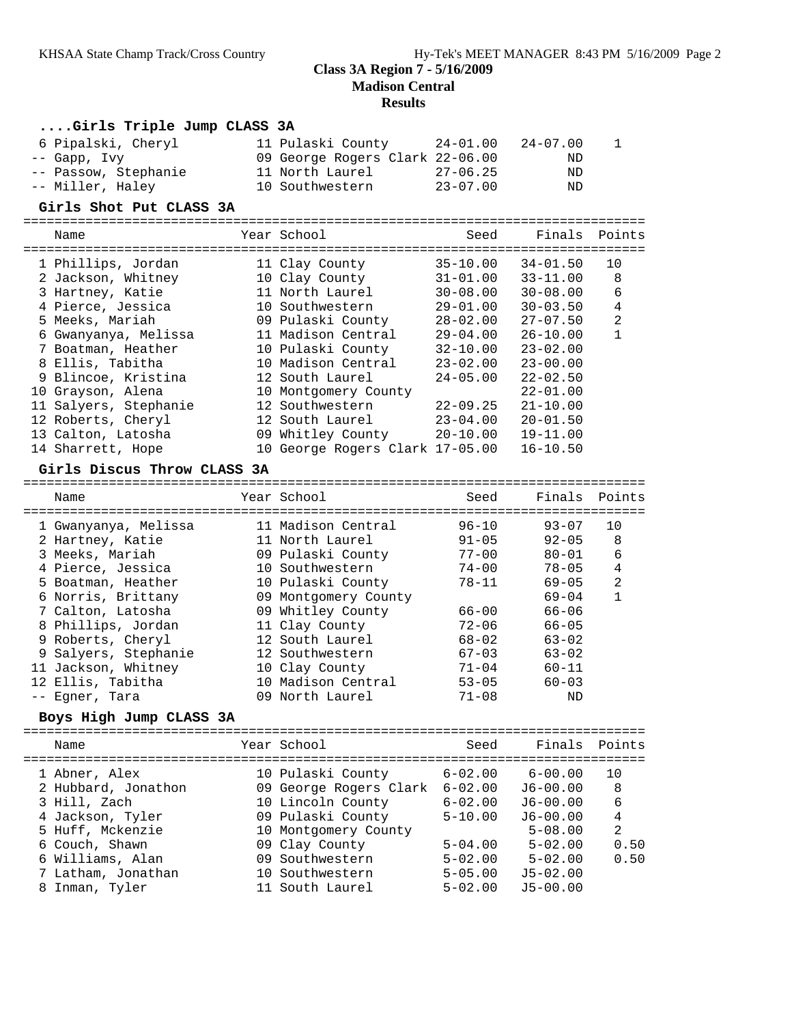### **Class 3A Region 7 - 5/16/2009 Madison Central**

# **Results**

|                      |  | Girls Triple Jump CLASS 3A                              |                 |                                         |                              |                              |                |
|----------------------|--|---------------------------------------------------------|-----------------|-----------------------------------------|------------------------------|------------------------------|----------------|
|                      |  | 6 Pipalski, Cheryl                                      |                 | 11 Pulaski County                       | 24-01.00                     | $24 - 07.00$                 | 1              |
|                      |  | -- Gapp, Ivy                                            |                 | 09 George Rogers Clark 22-06.00         |                              | ND                           |                |
| -- Passow, Stephanie |  |                                                         | 11 North Laurel | $27 - 06.25$                            | ND                           |                              |                |
|                      |  | -- Miller, Haley                                        |                 | 10 Southwestern                         | $23 - 07.00$                 | ΝD                           |                |
|                      |  | Girls Shot Put CLASS 3A                                 |                 |                                         |                              |                              |                |
|                      |  | Name                                                    |                 | Year School                             | Seed                         | Finals                       | Points         |
|                      |  |                                                         |                 |                                         |                              |                              |                |
|                      |  | 1 Phillips, Jordan                                      |                 | 11 Clay County                          | $35 - 10.00$                 | $34 - 01.50$                 | 10             |
|                      |  | 2 Jackson, Whitney                                      |                 | 10 Clay County                          | $31 - 01.00$                 | $33 - 11.00$                 | 8              |
|                      |  | 3 Hartney, Katie                                        |                 | 11 North Laurel                         | $30 - 08.00$                 | $30 - 08.00$                 | 6              |
|                      |  | 4 Pierce, Jessica                                       |                 | 10 Southwestern                         | $29 - 01.00$                 | $30 - 03.50$                 | $\overline{4}$ |
|                      |  | 5 Meeks, Mariah                                         |                 | 09 Pulaski County                       | $28 - 02.00$                 | $27 - 07.50$                 | $\overline{a}$ |
|                      |  | 6 Gwanyanya, Melissa                                    |                 | 11 Madison Central                      | $29 - 04.00$                 | $26 - 10.00$                 | $\mathbf{1}$   |
|                      |  | 7 Boatman, Heather                                      |                 | 10 Pulaski County                       | $32 - 10.00$                 | $23 - 02.00$                 |                |
|                      |  | 8 Ellis, Tabitha                                        |                 | 10 Madison Central                      | $23 - 02.00$                 | $23 - 00.00$                 |                |
|                      |  | 9 Blincoe, Kristina                                     |                 | 12 South Laurel                         | $24 - 05.00$                 | $22 - 02.50$                 |                |
|                      |  | 10 Grayson, Alena<br>11 Salyers, Stephanie              |                 | 10 Montgomery County<br>12 Southwestern |                              | $22 - 01.00$<br>$21 - 10.00$ |                |
|                      |  | 12 Roberts, Cheryl                                      |                 | 12 South Laurel                         | $22 - 09.25$<br>$23 - 04.00$ | $20 - 01.50$                 |                |
|                      |  | 13 Calton, Latosha                                      |                 | 09 Whitley County                       | $20 - 10.00$                 | $19 - 11.00$                 |                |
|                      |  | 14 Sharrett, Hope                                       |                 | 10 George Rogers Clark 17-05.00         |                              | $16 - 10.50$                 |                |
|                      |  |                                                         |                 |                                         |                              |                              |                |
|                      |  | Girls Discus Throw CLASS 3A                             |                 |                                         |                              |                              |                |
|                      |  | Name                                                    |                 | Year School                             | Seed                         | Finals                       | Points         |
|                      |  | 1 Gwanyanya, Melissa                                    |                 | 11 Madison Central                      | $96 - 10$                    | $93 - 07$                    | 10             |
|                      |  | 2 Hartney, Katie                                        |                 | 11 North Laurel                         | $91 - 05$                    | $92 - 05$                    | 8              |
|                      |  | 3 Meeks, Mariah                                         |                 | 09 Pulaski County                       | $77 - 00$                    | $80 - 01$                    | 6              |
|                      |  | 4 Pierce, Jessica                                       |                 | 10 Southwestern                         | $74 - 00$                    | $78 - 05$                    | 4              |
|                      |  | 5 Boatman, Heather                                      |                 | 10 Pulaski County                       | $78 - 11$                    | $69 - 05$                    | 2              |
|                      |  | 6 Norris, Brittany                                      |                 | 09 Montgomery County                    |                              | $69 - 04$                    | 1              |
|                      |  | 7 Calton, Latosha                                       |                 | 09 Whitley County                       | 66-00                        | $66 - 06$                    |                |
|                      |  | 8 Phillips, Jordan                                      |                 | 11 Clay County                          | $72 - 06$                    | $66 - 05$                    |                |
|                      |  | 9 Roberts, Cheryl                                       |                 | 12 South Laurel                         | $68 - 02$                    | $63 - 02$                    |                |
|                      |  | 9 Salyers, Stephanie                                    |                 | 12 Southwestern                         | $67 - 03$                    | $63 - 02$                    |                |
|                      |  | 11 Jackson, Whitney                                     |                 | 10 Clay County                          | $71 - 04$                    | $60 - 11$                    |                |
|                      |  | 12 Ellis, Tabitha                                       |                 | 10 Madison Central                      | $53 - 05$                    | $60 - 03$                    |                |
|                      |  | -- Egner, Tara                                          |                 | 09 North Laurel                         | $71 - 08$                    | ND                           |                |
|                      |  | Boys High Jump CLASS 3A<br>============================ |                 | ==========================              |                              |                              |                |
|                      |  | Name                                                    |                 | Year School                             | Seed                         | Finals                       | Points         |
|                      |  |                                                         | ==============  |                                         |                              |                              |                |
|                      |  | 1 Abner, Alex                                           |                 | 10 Pulaski County                       | $6 - 02.00$                  | $6 - 00.00$                  | 10             |
|                      |  | 2 Hubbard, Jonathon                                     |                 | 09 George Rogers Clark                  | $6 - 02.00$                  | $J6 - 00.00$                 | 8              |
|                      |  | 3 Hill, Zach                                            |                 | 10 Lincoln County                       | $6 - 02.00$                  | $J6 - 00.00$                 | 6              |
|                      |  | 4 Jackson, Tyler                                        |                 | 09 Pulaski County                       | $5 - 10.00$                  | $J6 - 00.00$                 | 4              |
|                      |  | 5 Huff, Mckenzie                                        |                 | 10 Montgomery County                    |                              | $5 - 08.00$                  | 2<br>0.50      |
|                      |  | 6 Couch, Shawn<br>6 Williams, Alan                      |                 | 09 Clay County<br>09 Southwestern       | $5 - 04.00$<br>$5 - 02.00$   | $5 - 02.00$<br>$5 - 02.00$   | 0.50           |
|                      |  | 7 Latham, Jonathan                                      |                 | 10 Southwestern                         | $5 - 05.00$                  | $J5 - 02.00$                 |                |
|                      |  | 8 Inman, Tyler                                          |                 | 11 South Laurel                         | $5 - 02.00$                  | $J5 - 00.00$                 |                |
|                      |  |                                                         |                 |                                         |                              |                              |                |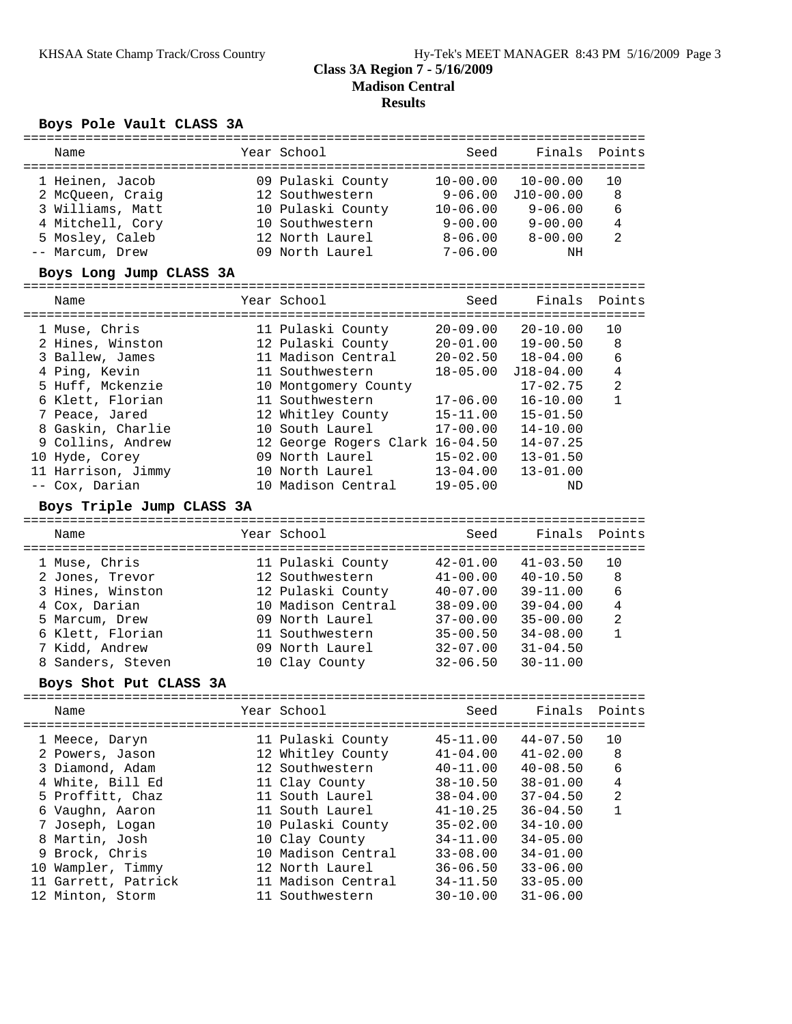### **Class 3A Region 7 - 5/16/2009 Madison Central Results**

# **Boys Pole Vault CLASS 3A**

| Name                                                                                                                                                                                                                                                             | Year School                                                                                                                                                                                                                                                       | Seed                                                                                                                                                                                         | Finals                                                                                                                                                                                       | Points                                                           |
|------------------------------------------------------------------------------------------------------------------------------------------------------------------------------------------------------------------------------------------------------------------|-------------------------------------------------------------------------------------------------------------------------------------------------------------------------------------------------------------------------------------------------------------------|----------------------------------------------------------------------------------------------------------------------------------------------------------------------------------------------|----------------------------------------------------------------------------------------------------------------------------------------------------------------------------------------------|------------------------------------------------------------------|
| 1 Heinen, Jacob<br>2 McQueen, Craig<br>3 Williams, Matt<br>4 Mitchell, Cory<br>5 Mosley, Caleb<br>-- Marcum, Drew<br>Boys Long Jump CLASS 3A                                                                                                                     | 09 Pulaski County<br>12 Southwestern<br>10 Pulaski County<br>10 Southwestern<br>12 North Laurel<br>09 North Laurel                                                                                                                                                | $10 - 00.00$<br>$9 - 06.00$<br>$10 - 06.00$<br>$9 - 00.00$<br>$8 - 06.00$<br>$7 - 06.00$                                                                                                     | $10 - 00.00$<br>J10-00.00<br>$9 - 06.00$<br>$9 - 00.00$<br>$8 - 00.00$<br>ΝH                                                                                                                 | 10<br>8<br>6<br>4<br>$\overline{2}$                              |
| Name                                                                                                                                                                                                                                                             | Year School                                                                                                                                                                                                                                                       | Seed                                                                                                                                                                                         | Finals                                                                                                                                                                                       | Points                                                           |
| 1 Muse, Chris<br>2 Hines, Winston<br>3 Ballew, James<br>4 Ping, Kevin<br>5 Huff, Mckenzie<br>6 Klett, Florian<br>7 Peace, Jared<br>8 Gaskin, Charlie<br>9 Collins, Andrew<br>10 Hyde, Corey<br>11 Harrison, Jimmy<br>-- Cox, Darian<br>Boys Triple Jump CLASS 3A | 11 Pulaski County<br>12 Pulaski County<br>11 Madison Central<br>11 Southwestern<br>10 Montgomery County<br>11 Southwestern<br>12 Whitley County<br>10 South Laurel<br>12 George Rogers Clark 16-04.50<br>09 North Laurel<br>10 North Laurel<br>10 Madison Central | $20 - 09.00$<br>$20 - 01.00$<br>$20 - 02.50$<br>$18 - 05.00$<br>$17 - 06.00$<br>$15 - 11.00$<br>$17 - 00.00$<br>$15 - 02.00$<br>$13 - 04.00$<br>$19 - 05.00$                                 | $20 - 10.00$<br>$19 - 00.50$<br>$18 - 04.00$<br>$J18 - 04.00$<br>$17 - 02.75$<br>$16 - 10.00$<br>$15 - 01.50$<br>$14 - 10.00$<br>$14 - 07.25$<br>$13 - 01.50$<br>$13 - 01.00$<br>ΝD          | 10<br>8<br>6<br>$\overline{4}$<br>$\overline{2}$<br>$\mathbf{1}$ |
| Name                                                                                                                                                                                                                                                             | Year School                                                                                                                                                                                                                                                       | Seed                                                                                                                                                                                         | Finals                                                                                                                                                                                       | Points                                                           |
| 1 Muse, Chris<br>2 Jones, Trevor<br>3 Hines, Winston<br>4 Cox, Darian<br>5 Marcum, Drew<br>6 Klett, Florian<br>7 Kidd, Andrew<br>8 Sanders, Steven                                                                                                               | 11 Pulaski County<br>12 Southwestern<br>12 Pulaski County<br>10 Madison Central<br>09 North Laurel<br>11 Southwestern<br>09 North Laurel<br>10 Clay County                                                                                                        | $42 - 01.00$<br>$41 - 00.00$<br>$40 - 07.00$<br>$38 - 09.00$<br>$37 - 00.00$<br>$35 - 00.50$<br>$32 - 07.00$<br>$32 - 06.50$                                                                 | $41 - 03.50$<br>$40 - 10.50$<br>$39 - 11.00$<br>$39 - 04.00$<br>$35 - 00.00$<br>$34 - 08.00$<br>$31 - 04.50$<br>$30 - 11.00$                                                                 | 10<br>8<br>6<br>$\overline{4}$<br>$\overline{2}$<br>$\mathbf{1}$ |
| Boys Shot Put CLASS 3A<br>Name                                                                                                                                                                                                                                   | Year School                                                                                                                                                                                                                                                       | Seed                                                                                                                                                                                         |                                                                                                                                                                                              | Finals Points                                                    |
| 1 Meece, Daryn<br>2 Powers, Jason<br>3 Diamond, Adam<br>4 White, Bill Ed<br>5 Proffitt, Chaz<br>6 Vaughn, Aaron<br>7 Joseph, Logan<br>8 Martin, Josh<br>9 Brock, Chris<br>10 Wampler, Timmy<br>11 Garrett, Patrick<br>12 Minton, Storm                           | 11 Pulaski County<br>12 Whitley County<br>12 Southwestern<br>11 Clay County<br>11 South Laurel<br>11 South Laurel<br>10 Pulaski County<br>10 Clay County<br>10 Madison Central<br>12 North Laurel<br>11 Madison Central<br>11 Southwestern                        | $45 - 11.00$<br>$41 - 04.00$<br>$40 - 11.00$<br>$38 - 10.50$<br>$38 - 04.00$<br>$41 - 10.25$<br>$35 - 02.00$<br>$34 - 11.00$<br>$33 - 08.00$<br>$36 - 06.50$<br>$34 - 11.50$<br>$30 - 10.00$ | $44 - 07.50$<br>$41 - 02.00$<br>$40 - 08.50$<br>$38 - 01.00$<br>$37 - 04.50$<br>$36 - 04.50$<br>$34 - 10.00$<br>$34 - 05.00$<br>$34 - 01.00$<br>$33 - 06.00$<br>$33 - 05.00$<br>$31 - 06.00$ | 10<br>8<br>6<br>4<br>$\sqrt{2}$<br>1                             |